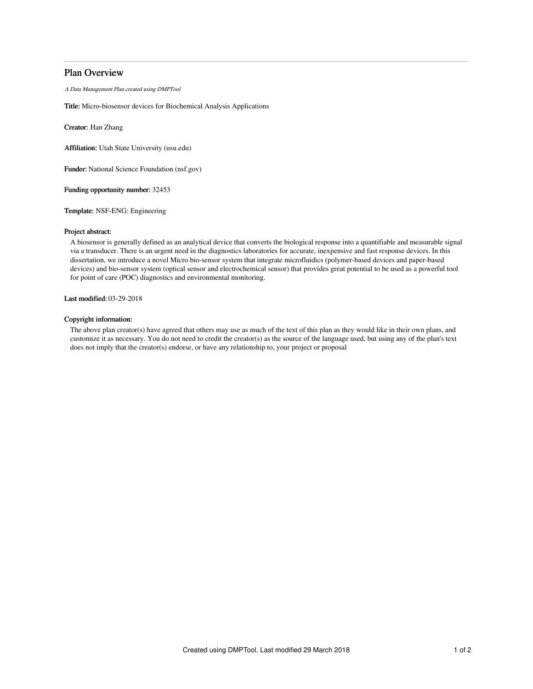# Plan Overview

A Data Management Plan created using DMPTool

Title: Micro-biosensor devices for Biochemical Analysis Applications

Creator: Han Zhang

Affiliation: Utah State University (usu.edu)

Funder: National Science Foundation (nsf.gov)

Funding opportunity number: 32453

Template: NSF-ENG: Engineering

### Project abstract:

A biosensor is generally defined as an analytical device that converts the biological response into a quantifiable and measurable signal via a transducer. There is an urgent need in the diagnostics laboratories for accurate, inexpensive and fast response devices. In this dissertation, we introduce a novel Micro bio-sensor system that integrate microfluidics (polymer-based devices and paper-based devices) and bio-sensor system (optical sensor and electrochemical sensor) that provides great potential to be used as a powerful tool for point of care (POC) diagnostics and environmental monitoring.

Last modified: 03-29-2018

# Copyright information:

The above plan creator(s) have agreed that others may use as much of the text of this plan as they would like in their own plans, and customize it as necessary. You do not need to credit the creator(s) as the source of the language used, but using any of the plan's text does not imply that the creator(s) endorse, or have any relationship to, your project or proposal